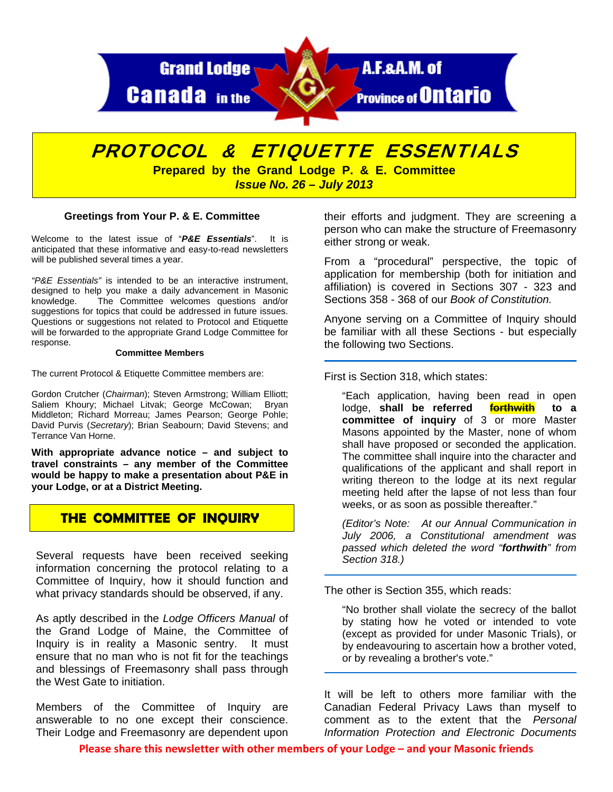

# PROTOCOL & ETIQUETTE ESSENTIALS

**Prepared by the Grand Lodge P. & E. Committee**  *Issue No. 26 – July 2013* 

## **Greetings from Your P. & E. Committee**

Welcome to the latest issue of "*P&E Essentials*". It is anticipated that these informative and easy-to-read newsletters will be published several times a year.

*"P&E Essentials"* is intended to be an interactive instrument, designed to help you make a daily advancement in Masonic knowledge. The Committee welcomes questions and/or suggestions for topics that could be addressed in future issues. Questions or suggestions not related to Protocol and Etiquette will be forwarded to the appropriate Grand Lodge Committee for response.

#### **Committee Members**

The current Protocol & Etiquette Committee members are:

Gordon Crutcher (*Chairman*); Steven Armstrong; William Elliott; Saliem Khoury; Michael Litvak; George McCowan; Bryan Middleton; Richard Morreau; James Pearson; George Pohle; David Purvis (*Secretary*); Brian Seabourn; David Stevens; and Terrance Van Horne.

**With appropriate advance notice – and subject to travel constraints – any member of the Committee would be happy to make a presentation about P&E in your Lodge, or at a District Meeting.** 

# **THE COMMITTEE OF INQUIRY**

Several requests have been received seeking information concerning the protocol relating to a Committee of Inquiry, how it should function and what privacy standards should be observed, if any.

As aptly described in the *Lodge Officers Manual* of the Grand Lodge of Maine, the Committee of Inquiry is in reality a Masonic sentry. It must ensure that no man who is not fit for the teachings and blessings of Freemasonry shall pass through the West Gate to initiation.

Members of the Committee of Inquiry are answerable to no one except their conscience. Their Lodge and Freemasonry are dependent upon their efforts and judgment. They are screening a person who can make the structure of Freemasonry either strong or weak.

From a "procedural" perspective, the topic of application for membership (both for initiation and affiliation) is covered in Sections 307 - 323 and Sections 358 - 368 of our *Book of Constitution.* 

Anyone serving on a Committee of Inquiry should be familiar with all these Sections - but especially the following two Sections.

First is Section 318, which states:

"Each application, having been read in open lodge, **shall be referred forthwith to a committee of inquiry** of 3 or more Master Masons appointed by the Master, none of whom shall have proposed or seconded the application. The committee shall inquire into the character and qualifications of the applicant and shall report in writing thereon to the lodge at its next regular meeting held after the lapse of not less than four weeks, or as soon as possible thereafter."

*(Editor's Note: At our Annual Communication in July 2006, a Constitutional amendment was passed which deleted the word "forthwith" from Section 318.)* 

The other is Section 355, which reads:

"No brother shall violate the secrecy of the ballot by stating how he voted or intended to vote (except as provided for under Masonic Trials), or by endeavouring to ascertain how a brother voted, or by revealing a brother's vote."

It will be left to others more familiar with the Canadian Federal Privacy Laws than myself to comment as to the extent that the *Personal Information Protection and Electronic Documents* 

**Please share this newsletter with other members of your Lodge – and your Masonic friends**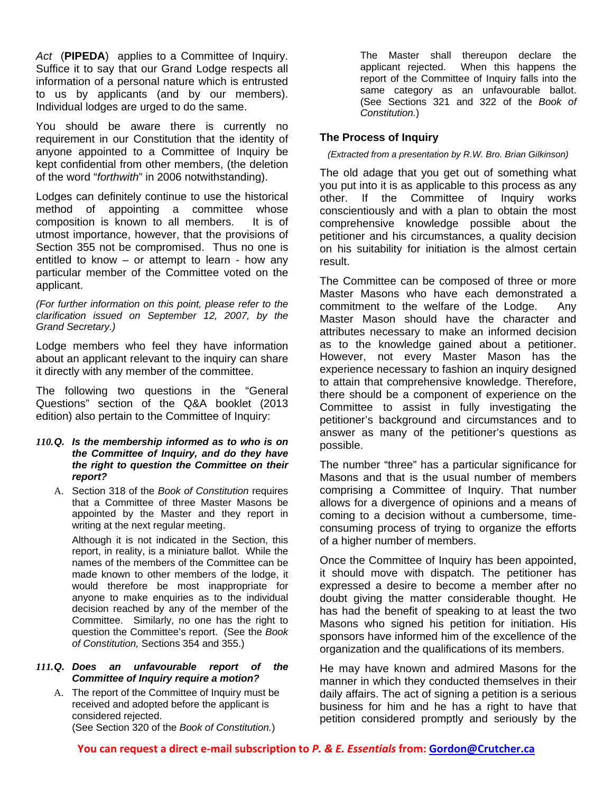*Act* (**PIPEDA**) applies to a Committee of Inquiry. Suffice it to say that our Grand Lodge respects all information of a personal nature which is entrusted to us by applicants (and by our members). Individual lodges are urged to do the same.

You should be aware there is currently no requirement in our Constitution that the identity of anyone appointed to a Committee of Inquiry be kept confidential from other members, (the deletion of the word "*forthwith*" in 2006 notwithstanding).

Lodges can definitely continue to use the historical method of appointing a committee whose composition is known to all members. It is of utmost importance, however, that the provisions of Section 355 not be compromised. Thus no one is entitled to know – or attempt to learn - how any particular member of the Committee voted on the applicant.

*(For further information on this point, please refer to the clarification issued on September 12, 2007, by the Grand Secretary.)* 

Lodge members who feel they have information about an applicant relevant to the inquiry can share it directly with any member of the committee.

The following two questions in the "General Questions" section of the Q&A booklet (2013 edition) also pertain to the Committee of Inquiry:

#### *110. Q. Is the membership informed as to who is on the Committee of Inquiry, and do they have the right to question the Committee on their report?*

A. Section 318 of the *Book of Constitution* requires that a Committee of three Master Masons be appointed by the Master and they report in writing at the next regular meeting.

Although it is not indicated in the Section, this report, in reality, is a miniature ballot. While the names of the members of the Committee can be made known to other members of the lodge, it would therefore be most inappropriate for anyone to make enquiries as to the individual decision reached by any of the member of the Committee. Similarly, no one has the right to question the Committee's report. (See the *Book of Constitution,* Sections 354 and 355.)

## *111. Q. Does an unfavourable report of the Committee of Inquiry require a motion?*

A. The report of the Committee of Inquiry must be received and adopted before the applicant is considered rejected. (See Section 320 of the *Book of Constitution.*)

The Master shall thereupon declare the applicant rejected. When this happens the report of the Committee of Inquiry falls into the same category as an unfavourable ballot. (See Sections 321 and 322 of the *Book of Constitution.*)

# **The Process of Inquiry**

# *(Extracted from a presentation by R.W. Bro. Brian Gilkinson)*

The old adage that you get out of something what you put into it is as applicable to this process as any other. If the Committee of Inquiry works conscientiously and with a plan to obtain the most comprehensive knowledge possible about the petitioner and his circumstances, a quality decision on his suitability for initiation is the almost certain result.

The Committee can be composed of three or more Master Masons who have each demonstrated a commitment to the welfare of the Lodge. Any Master Mason should have the character and attributes necessary to make an informed decision as to the knowledge gained about a petitioner. However, not every Master Mason has the experience necessary to fashion an inquiry designed to attain that comprehensive knowledge. Therefore, there should be a component of experience on the Committee to assist in fully investigating the petitioner's background and circumstances and to answer as many of the petitioner's questions as possible.

The number "three" has a particular significance for Masons and that is the usual number of members comprising a Committee of Inquiry. That number allows for a divergence of opinions and a means of coming to a decision without a cumbersome, timeconsuming process of trying to organize the efforts of a higher number of members.

Once the Committee of Inquiry has been appointed, it should move with dispatch. The petitioner has expressed a desire to become a member after no doubt giving the matter considerable thought. He has had the benefit of speaking to at least the two Masons who signed his petition for initiation. His sponsors have informed him of the excellence of the organization and the qualifications of its members.

He may have known and admired Masons for the manner in which they conducted themselves in their daily affairs. The act of signing a petition is a serious business for him and he has a right to have that petition considered promptly and seriously by the